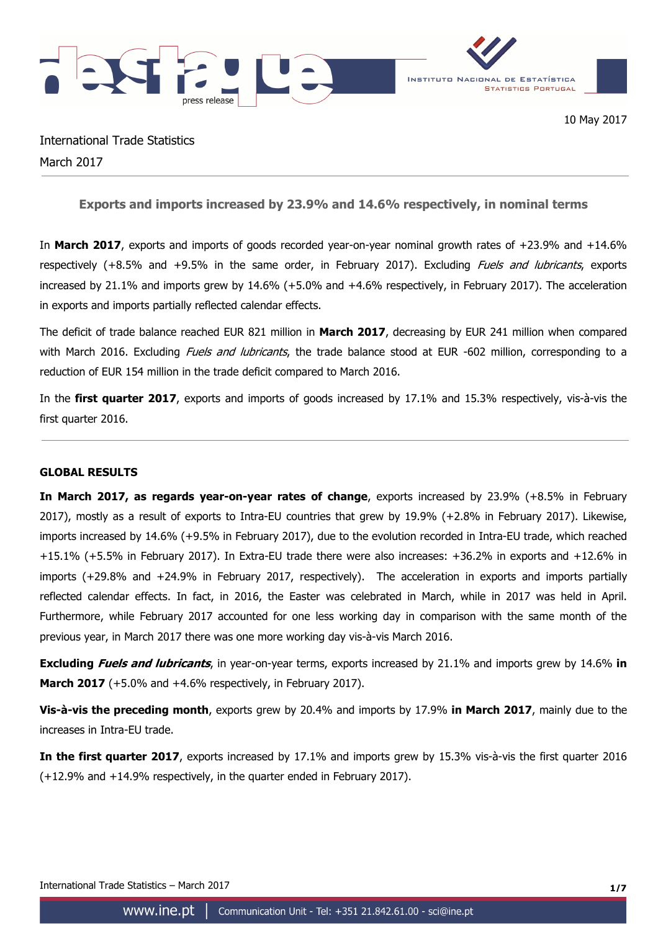

International Trade Statistics March 2017

**Exports and imports increased by 23.9% and 14.6% respectively, in nominal terms** 

In **March 2017**, exports and imports of goods recorded year-on-year nominal growth rates of +23.9% and +14.6% respectively (+8.5% and +9.5% in the same order, in February 2017). Excluding *Fuels and lubricants*, exports increased by 21.1% and imports grew by 14.6% (+5.0% and +4.6% respectively, in February 2017). The acceleration in exports and imports partially reflected calendar effects.

The deficit of trade balance reached EUR 821 million in **March 2017**, decreasing by EUR 241 million when compared with March 2016. Excluding *Fuels and lubricants*, the trade balance stood at EUR -602 million, corresponding to a reduction of EUR 154 million in the trade deficit compared to March 2016.

In the **first quarter 2017**, exports and imports of goods increased by 17.1% and 15.3% respectively, vis-à-vis the first quarter 2016.

## **GLOBAL RESULTS**

**In March 2017, as regards year-on-year rates of change**, exports increased by 23.9% (+8.5% in February 2017), mostly as a result of exports to Intra-EU countries that grew by 19.9% (+2.8% in February 2017). Likewise, imports increased by 14.6% (+9.5% in February 2017), due to the evolution recorded in Intra-EU trade, which reached +15.1% (+5.5% in February 2017). In Extra-EU trade there were also increases: +36.2% in exports and +12.6% in imports (+29.8% and +24.9% in February 2017, respectively). The acceleration in exports and imports partially reflected calendar effects. In fact, in 2016, the Easter was celebrated in March, while in 2017 was held in April. Furthermore, while February 2017 accounted for one less working day in comparison with the same month of the previous year, in March 2017 there was one more working day vis-à-vis March 2016.

**Excluding Fuels and lubricants**, in year-on-year terms, exports increased by 21.1% and imports grew by 14.6% **in March 2017** (+5.0% and +4.6% respectively, in February 2017).

**Vis-à-vis the preceding month**, exports grew by 20.4% and imports by 17.9% **in March 2017**, mainly due to the increases in Intra-EU trade.

**In the first quarter 2017**, exports increased by 17.1% and imports grew by 15.3% vis-à-vis the first quarter 2016 (+12.9% and +14.9% respectively, in the quarter ended in February 2017).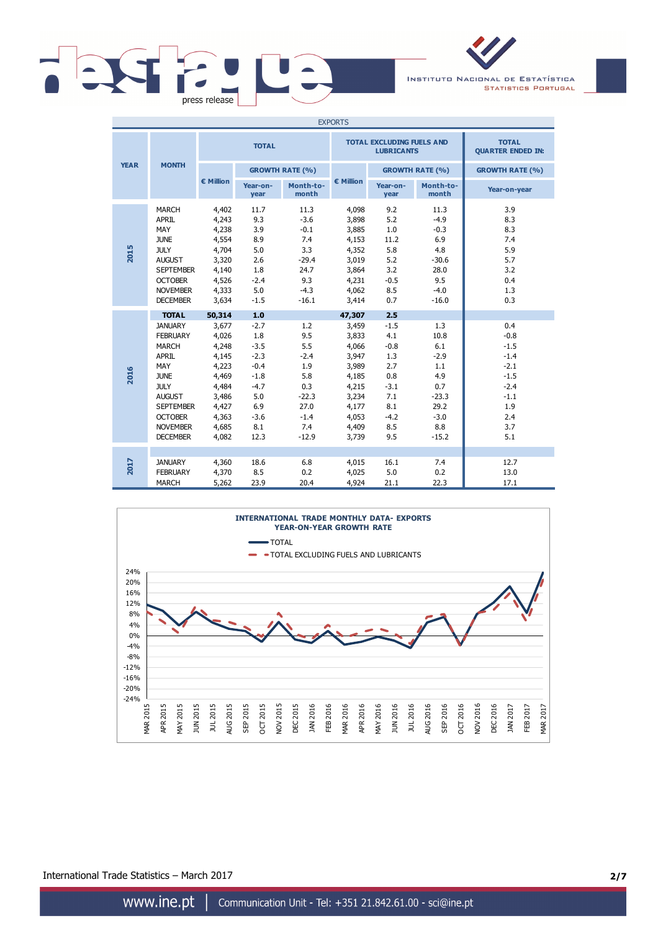

INSTITUTO NACIONAL DE ESTATÍSTICA **STATISTICS PORTUGAL** 

| <b>EXPORTS</b> |                                                                                                                                                                                                              |                                                                                                                    |                                                                                                               |                                                                                                 |                                                                                                                    |                                                                                                     |                                                                                                  |                                                                                                       |
|----------------|--------------------------------------------------------------------------------------------------------------------------------------------------------------------------------------------------------------|--------------------------------------------------------------------------------------------------------------------|---------------------------------------------------------------------------------------------------------------|-------------------------------------------------------------------------------------------------|--------------------------------------------------------------------------------------------------------------------|-----------------------------------------------------------------------------------------------------|--------------------------------------------------------------------------------------------------|-------------------------------------------------------------------------------------------------------|
| <b>YEAR</b>    |                                                                                                                                                                                                              |                                                                                                                    | <b>TOTAL</b>                                                                                                  |                                                                                                 |                                                                                                                    | <b>TOTAL EXCLUDING FUELS AND</b><br><b>LUBRICANTS</b>                                               | <b>TOTAL</b><br><b>QUARTER ENDED IN:</b>                                                         |                                                                                                       |
|                | <b>MONTH</b>                                                                                                                                                                                                 |                                                                                                                    |                                                                                                               | <b>GROWTH RATE (%)</b>                                                                          |                                                                                                                    |                                                                                                     | <b>GROWTH RATE (%)</b>                                                                           | <b>GROWTH RATE (%)</b>                                                                                |
|                |                                                                                                                                                                                                              | € Million                                                                                                          | Year-on-<br>year                                                                                              | Month-to-<br>month                                                                              | € Million                                                                                                          | Year-on-<br>year                                                                                    | Month-to-<br>month                                                                               | Year-on-year                                                                                          |
| 2015           | <b>MARCH</b><br><b>APRIL</b><br>MAY<br><b>JUNE</b><br><b>JULY</b><br><b>AUGUST</b><br><b>SEPTEMBER</b><br><b>OCTOBER</b><br><b>NOVEMBER</b><br><b>DECEMBER</b>                                               | 4,402<br>4,243<br>4,238<br>4,554<br>4,704<br>3,320<br>4,140<br>4,526<br>4,333<br>3,634                             | 11.7<br>9.3<br>3.9<br>8.9<br>5.0<br>2.6<br>1.8<br>$-2.4$<br>5.0<br>$-1.5$                                     | 11.3<br>$-3.6$<br>$-0.1$<br>7.4<br>3.3<br>$-29.4$<br>24.7<br>9.3<br>$-4.3$<br>$-16.1$           | 4,098<br>3,898<br>3,885<br>4,153<br>4,352<br>3,019<br>3,864<br>4,231<br>4,062<br>3,414                             | 9.2<br>5.2<br>$1.0\,$<br>11.2<br>5.8<br>5.2<br>3.2<br>$-0.5$<br>8.5<br>0.7                          | 11.3<br>$-4.9$<br>$-0.3$<br>6.9<br>4.8<br>$-30.6$<br>28.0<br>9.5<br>$-4.0$<br>$-16.0$            | 3.9<br>8.3<br>8.3<br>7.4<br>5.9<br>5.7<br>3.2<br>0.4<br>1.3<br>0.3                                    |
| 2016           | <b>TOTAL</b><br><b>JANUARY</b><br><b>FEBRUARY</b><br><b>MARCH</b><br>APRIL<br>MAY<br><b>JUNE</b><br><b>JULY</b><br><b>AUGUST</b><br><b>SEPTEMBER</b><br><b>OCTOBER</b><br><b>NOVEMBER</b><br><b>DECEMBER</b> | 50,314<br>3,677<br>4,026<br>4,248<br>4,145<br>4,223<br>4,469<br>4,484<br>3,486<br>4,427<br>4,363<br>4,685<br>4,082 | 1.0<br>$-2.7$<br>1.8<br>$-3.5$<br>$-2.3$<br>$-0.4$<br>$-1.8$<br>$-4.7$<br>5.0<br>6.9<br>$-3.6$<br>8.1<br>12.3 | 1.2<br>9.5<br>5.5<br>$-2.4$<br>1.9<br>5.8<br>0.3<br>$-22.3$<br>27.0<br>$-1.4$<br>7.4<br>$-12.9$ | 47,307<br>3,459<br>3,833<br>4,066<br>3,947<br>3,989<br>4,185<br>4,215<br>3,234<br>4,177<br>4,053<br>4,409<br>3,739 | 2.5<br>$-1.5$<br>4.1<br>$-0.8$<br>1.3<br>2.7<br>0.8<br>$-3.1$<br>7.1<br>8.1<br>$-4.2$<br>8.5<br>9.5 | 1.3<br>10.8<br>6.1<br>$-2.9$<br>1.1<br>4.9<br>0.7<br>$-23.3$<br>29.2<br>$-3.0$<br>8.8<br>$-15.2$ | 0.4<br>$-0.8$<br>$-1.5$<br>$-1.4$<br>$-2.1$<br>$-1.5$<br>$-2.4$<br>$-1.1$<br>1.9<br>2.4<br>3.7<br>5.1 |
| <b>2017</b>    | <b>JANUARY</b><br><b>FEBRUARY</b><br><b>MARCH</b>                                                                                                                                                            | 4,360<br>4,370<br>5,262                                                                                            | 18.6<br>8.5<br>23.9                                                                                           | 6.8<br>0.2<br>20.4                                                                              | 4,015<br>4,025<br>4,924                                                                                            | 16.1<br>5.0<br>21.1                                                                                 | 7.4<br>0.2<br>22.3                                                                               | 12.7<br>13.0<br>17.1                                                                                  |



International Trade Statistics – March 2017 **2/7**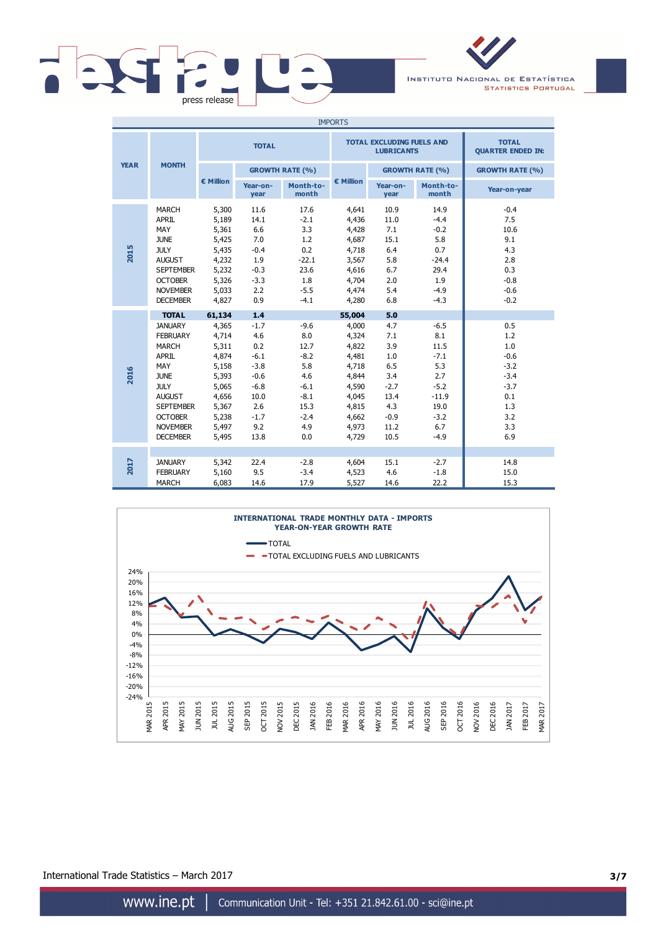

INSTITUTO NACIONAL DE ESTATÍSTICA **STATISTICS PORTUGAL** 

| <b>IMPORTS</b> |                                                                                                                                                                                                       |                                                                                                                    |                                                                                                             |                                                                                                   |                                                                                                                    |                                                                                                  |                                                                                                       |                                                                                              |
|----------------|-------------------------------------------------------------------------------------------------------------------------------------------------------------------------------------------------------|--------------------------------------------------------------------------------------------------------------------|-------------------------------------------------------------------------------------------------------------|---------------------------------------------------------------------------------------------------|--------------------------------------------------------------------------------------------------------------------|--------------------------------------------------------------------------------------------------|-------------------------------------------------------------------------------------------------------|----------------------------------------------------------------------------------------------|
| <b>YEAR</b>    |                                                                                                                                                                                                       |                                                                                                                    | <b>TOTAL</b>                                                                                                |                                                                                                   |                                                                                                                    | <b>TOTAL EXCLUDING FUELS AND</b><br><b>LUBRICANTS</b>                                            | <b>TOTAL</b><br><b>QUARTER ENDED IN:</b>                                                              |                                                                                              |
|                | <b>MONTH</b>                                                                                                                                                                                          |                                                                                                                    | <b>GROWTH RATE (%)</b>                                                                                      |                                                                                                   |                                                                                                                    |                                                                                                  | <b>GROWTH RATE (%)</b>                                                                                | <b>GROWTH RATE (%)</b>                                                                       |
|                |                                                                                                                                                                                                       | € Million                                                                                                          | Year-on-<br>year                                                                                            | Month-to-<br>month                                                                                | € Million                                                                                                          | Year-on-<br>year                                                                                 | Month-to-<br>month                                                                                    | Year-on-year                                                                                 |
| 2015           | <b>MARCH</b><br><b>APRIL</b><br>MAY<br><b>JUNE</b><br><b>JULY</b><br><b>AUGUST</b><br><b>SEPTEMBER</b><br><b>OCTOBER</b><br><b>NOVEMBER</b><br><b>DECEMBER</b>                                        | 5,300<br>5,189<br>5,361<br>5,425<br>5,435<br>4,232<br>5,232<br>5,326<br>5,033<br>4,827                             | 11.6<br>14.1<br>6.6<br>7.0<br>$-0.4$<br>1.9<br>$-0.3$<br>$-3.3$<br>2.2<br>0.9                               | 17.6<br>$-2.1$<br>3.3<br>1.2<br>0.2<br>$-22.1$<br>23.6<br>1.8<br>$-5.5$<br>$-4.1$                 | 4,641<br>4,436<br>4,428<br>4,687<br>4,718<br>3,567<br>4,616<br>4,704<br>4,474<br>4,280                             | 10.9<br>11.0<br>7.1<br>15.1<br>6.4<br>5.8<br>6.7<br>2.0<br>5.4<br>6.8                            | 14.9<br>$-4.4$<br>$-0.2$<br>5.8<br>0.7<br>$-24.4$<br>29.4<br>1.9<br>$-4.9$<br>$-4.3$                  | $-0.4$<br>7.5<br>10.6<br>9.1<br>4.3<br>2.8<br>0.3<br>$-0.8$<br>$-0.6$<br>$-0.2$              |
| 2016           | <b>TOTAL</b><br><b>JANUARY</b><br><b>FEBRUARY</b><br>MARCH<br>APRIL<br>MAY<br><b>JUNE</b><br><b>JULY</b><br><b>AUGUST</b><br><b>SEPTEMBER</b><br><b>OCTOBER</b><br><b>NOVEMBER</b><br><b>DECEMBER</b> | 61,134<br>4,365<br>4,714<br>5,311<br>4,874<br>5,158<br>5,393<br>5,065<br>4,656<br>5,367<br>5,238<br>5,497<br>5,495 | 1.4<br>$-1.7$<br>4.6<br>0.2<br>$-6.1$<br>$-3.8$<br>$-0.6$<br>$-6.8$<br>10.0<br>2.6<br>$-1.7$<br>9.2<br>13.8 | $-9.6$<br>8.0<br>12.7<br>$-8.2$<br>5.8<br>4.6<br>$-6.1$<br>$-8.1$<br>15.3<br>$-2.4$<br>4.9<br>0.0 | 55,004<br>4,000<br>4,324<br>4,822<br>4,481<br>4,718<br>4,844<br>4,590<br>4,045<br>4,815<br>4,662<br>4,973<br>4,729 | 5.0<br>4.7<br>7.1<br>3.9<br>1.0<br>6.5<br>3.4<br>$-2.7$<br>13.4<br>4.3<br>$-0.9$<br>11.2<br>10.5 | $-6.5$<br>8.1<br>11.5<br>$-7.1$<br>5.3<br>2.7<br>$-5.2$<br>$-11.9$<br>19.0<br>$-3.2$<br>6.7<br>$-4.9$ | 0.5<br>1.2<br>1.0<br>$-0.6$<br>$-3.2$<br>$-3.4$<br>$-3.7$<br>0.1<br>1.3<br>3.2<br>3.3<br>6.9 |
| 2017           | <b>JANUARY</b><br><b>FEBRUARY</b><br><b>MARCH</b>                                                                                                                                                     | 5,342<br>5,160<br>6,083                                                                                            | 22.4<br>9.5<br>14.6                                                                                         | $-2.8$<br>$-3.4$<br>17.9                                                                          | 4,604<br>4,523<br>5,527                                                                                            | 15.1<br>4.6<br>14.6                                                                              | $-2.7$<br>$-1.8$<br>22.2                                                                              | 14.8<br>15.0<br>15.3                                                                         |



International Trade Statistics – March 2017 **3/7**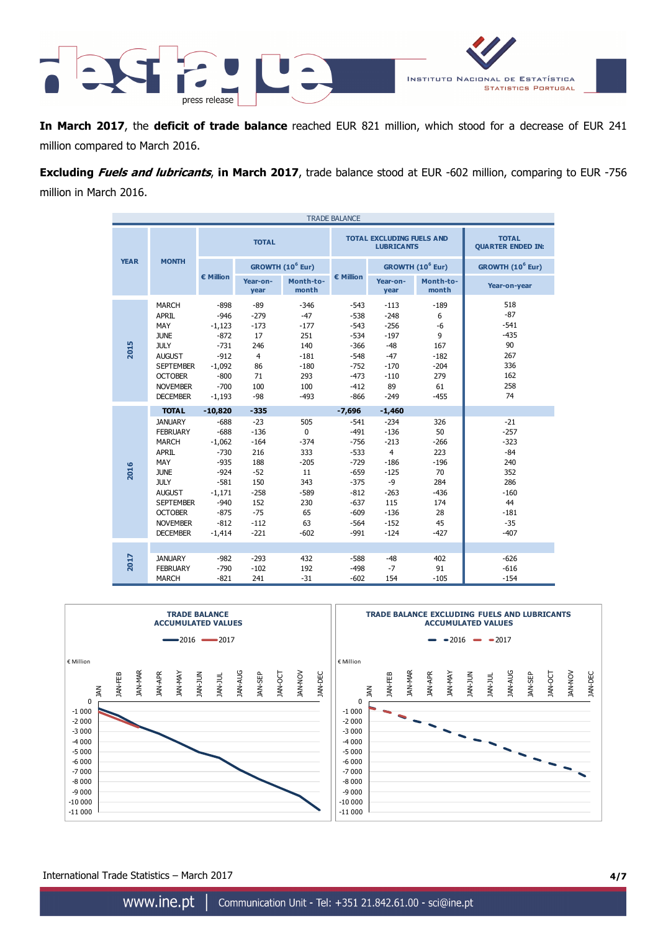

**In March 2017**, the **deficit of trade balance** reached EUR 821 million, which stood for a decrease of EUR 241 million compared to March 2016.

**Excluding Fuels and lubricants**, **in March 2017**, trade balance stood at EUR -602 million, comparing to EUR -756 million in March 2016.

| <b>TRADE BALANCE</b> |                                                                                                                                                                                                                     |                                                                                                                                         |                                                                                                                 |                                                                                                    |                                                                                                                                  |                                                                                                                                   |                                                                                          |                                                                                                      |  |
|----------------------|---------------------------------------------------------------------------------------------------------------------------------------------------------------------------------------------------------------------|-----------------------------------------------------------------------------------------------------------------------------------------|-----------------------------------------------------------------------------------------------------------------|----------------------------------------------------------------------------------------------------|----------------------------------------------------------------------------------------------------------------------------------|-----------------------------------------------------------------------------------------------------------------------------------|------------------------------------------------------------------------------------------|------------------------------------------------------------------------------------------------------|--|
|                      |                                                                                                                                                                                                                     |                                                                                                                                         | <b>TOTAL</b>                                                                                                    |                                                                                                    |                                                                                                                                  | <b>TOTAL EXCLUDING FUELS AND</b><br><b>LUBRICANTS</b>                                                                             | <b>TOTAL</b><br><b>QUARTER ENDED IN:</b>                                                 |                                                                                                      |  |
| <b>YEAR</b>          | <b>MONTH</b>                                                                                                                                                                                                        |                                                                                                                                         |                                                                                                                 | GROWTH (10 <sup>6</sup> Eur)                                                                       |                                                                                                                                  |                                                                                                                                   | GROWTH (10 <sup>6</sup> Eur)                                                             | GROWTH (10 <sup>6</sup> Eur)                                                                         |  |
|                      |                                                                                                                                                                                                                     | € Million                                                                                                                               | Year-on-<br>year                                                                                                | Month-to-<br>month                                                                                 | € Million                                                                                                                        | Year-on-<br>year                                                                                                                  | Month-to-<br>month                                                                       | Year-on-year                                                                                         |  |
| 2015                 | <b>MARCH</b><br><b>APRIL</b><br>MAY<br><b>JUNE</b><br><b>JULY</b><br><b>AUGUST</b><br><b>SEPTEMBER</b><br><b>OCTOBER</b><br><b>NOVEMBER</b><br><b>DECEMBER</b>                                                      | $-898$<br>$-946$<br>$-1,123$<br>$-872$<br>$-731$<br>$-912$<br>$-1,092$<br>$-800$<br>$-700$<br>$-1,193$                                  | $-89$<br>$-279$<br>$-173$<br>17<br>246<br>$\overline{4}$<br>86<br>71<br>100<br>$-98$                            | $-346$<br>$-47$<br>$-177$<br>251<br>140<br>$-181$<br>$-180$<br>293<br>100<br>$-493$                | $-543$<br>$-538$<br>$-543$<br>$-534$<br>$-366$<br>$-548$<br>$-752$<br>$-473$<br>$-412$<br>$-866$                                 | $-113$<br>$-248$<br>$-256$<br>$-197$<br>$-48$<br>$-47$<br>$-170$<br>$-110$<br>89<br>$-249$                                        | $-189$<br>6<br>$-6$<br>9<br>167<br>$-182$<br>$-204$<br>279<br>61<br>$-455$               | 518<br>$-87$<br>$-541$<br>$-435$<br>90<br>267<br>336<br>162<br>258<br>74                             |  |
| 2016                 | <b>TOTAL</b><br><b>JANUARY</b><br><b>FEBRUARY</b><br><b>MARCH</b><br><b>APRIL</b><br>MAY<br><b>JUNE</b><br><b>JULY</b><br><b>AUGUST</b><br><b>SEPTEMBER</b><br><b>OCTOBER</b><br><b>NOVEMBER</b><br><b>DECEMBER</b> | $-10,820$<br>$-688$<br>$-688$<br>$-1,062$<br>$-730$<br>$-935$<br>$-924$<br>$-581$<br>$-1,171$<br>$-940$<br>$-875$<br>$-812$<br>$-1,414$ | $-335$<br>$-23$<br>$-136$<br>$-164$<br>216<br>188<br>$-52$<br>150<br>$-258$<br>152<br>$-75$<br>$-112$<br>$-221$ | 505<br>$\mathbf{0}$<br>$-374$<br>333<br>$-205$<br>11<br>343<br>$-589$<br>230<br>65<br>63<br>$-602$ | $-7,696$<br>$-541$<br>$-491$<br>$-756$<br>$-533$<br>$-729$<br>$-659$<br>$-375$<br>$-812$<br>$-637$<br>$-609$<br>$-564$<br>$-991$ | $-1,460$<br>$-234$<br>$-136$<br>$-213$<br>$\overline{4}$<br>$-186$<br>$-125$<br>-9<br>$-263$<br>115<br>$-136$<br>$-152$<br>$-124$ | 326<br>50<br>$-266$<br>223<br>$-196$<br>70<br>284<br>$-436$<br>174<br>28<br>45<br>$-427$ | $-21$<br>$-257$<br>$-323$<br>$-84$<br>240<br>352<br>286<br>$-160$<br>44<br>$-181$<br>$-35$<br>$-407$ |  |
| 2017                 | <b>JANUARY</b><br><b>FEBRUARY</b><br><b>MARCH</b>                                                                                                                                                                   | $-982$<br>$-790$<br>$-821$                                                                                                              | $-293$<br>$-102$<br>241                                                                                         | 432<br>192<br>$-31$                                                                                | $-588$<br>$-498$<br>$-602$                                                                                                       | $-48$<br>$-7$<br>154                                                                                                              | 402<br>91<br>$-105$                                                                      | $-626$<br>$-616$<br>$-154$                                                                           |  |



International Trade Statistics – March 2017 **4/7**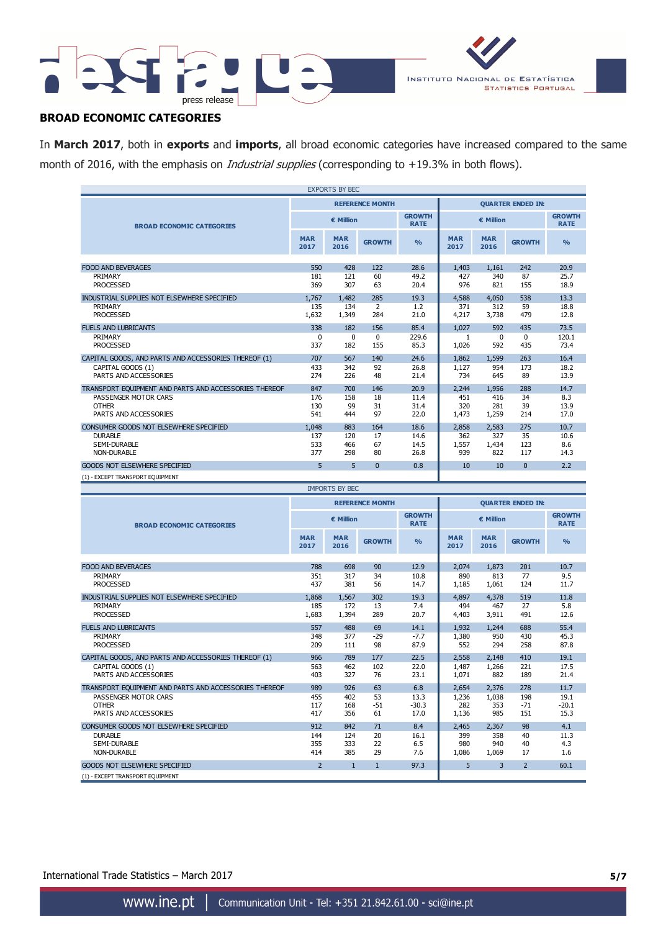



# **BROAD ECONOMIC CATEGORIES**

In **March 2017**, both in **exports** and **imports**, all broad economic categories have increased compared to the same month of 2016, with the emphasis on *Industrial supplies* (corresponding to +19.3% in both flows).

| <b>EXPORTS BY BEC</b>                                 |                    |                       |                        |                              |                          |                    |                          |                              |
|-------------------------------------------------------|--------------------|-----------------------|------------------------|------------------------------|--------------------------|--------------------|--------------------------|------------------------------|
|                                                       |                    |                       | <b>REFERENCE MONTH</b> |                              | <b>OUARTER ENDED IN:</b> |                    |                          |                              |
| <b>BROAD ECONOMIC CATEGORIES</b>                      | € Million          |                       |                        | <b>GROWTH</b><br><b>RATE</b> | € Million                |                    |                          | <b>GROWTH</b><br><b>RATE</b> |
|                                                       | <b>MAR</b><br>2017 | <b>MAR</b><br>2016    | <b>GROWTH</b>          | $\frac{0}{0}$                | <b>MAR</b><br>2017       | <b>MAR</b><br>2016 | <b>GROWTH</b>            | $\frac{0}{0}$                |
| <b>FOOD AND BEVERAGES</b>                             | 550                | 428                   | 122                    | 28.6                         | 1,403                    | 1.161              | 242                      | 20.9                         |
| PRIMARY                                               | 181                | 121                   | 60                     | 49.2                         | 427                      | 340                | 87                       | 25.7                         |
| <b>PROCESSED</b>                                      | 369                | 307                   | 63                     | 20.4                         | 976                      | 821                | 155                      | 18.9                         |
| INDUSTRIAL SUPPLIES NOT ELSEWHERE SPECIFIED           | 1.767              | 1.482                 | 285                    | 19.3                         | 4,588                    | 4,050              | 538                      | 13.3                         |
| PRIMARY                                               | 135                | 134                   | 2                      | 1.2                          | 371                      | 312                | 59                       | 18.8                         |
| <b>PROCESSED</b>                                      | 1,632              | 1,349                 | 284                    | 21.0                         | 4,217                    | 3,738              | 479                      | 12.8                         |
| <b>FUELS AND LUBRICANTS</b>                           | 338                | 182                   | 156                    | 85.4                         | 1.027                    | 592                | 435                      | 73.5                         |
| PRIMARY                                               | $\mathbf{0}$       | $\mathbf 0$           | $\mathbf{0}$           | 229.6                        | 1                        | $\mathbf{0}$       | $\Omega$                 | 120.1                        |
| <b>PROCESSED</b>                                      | 337                | 182                   | 155                    | 85.3                         | 1,026                    | 592                | 435                      | 73.4                         |
| CAPITAL GOODS, AND PARTS AND ACCESSORIES THEREOF (1)  | 707                | 567                   | 140                    | 24.6                         | 1,862                    | 1,599              | 263                      | 16.4                         |
| CAPITAL GOODS (1)                                     | 433                | 342                   | 92                     | 26.8                         | 1,127                    | 954                | 173                      | 18.2                         |
| PARTS AND ACCESSORIES                                 | 274                | 226                   | 48                     | 21.4                         | 734                      | 645                | 89                       | 13.9                         |
| TRANSPORT EQUIPMENT AND PARTS AND ACCESSORIES THEREOF | 847                | 700                   | 146                    | 20.9                         | 2.244                    | 1.956              | 288                      | 14.7                         |
| PASSENGER MOTOR CARS<br><b>OTHER</b>                  | 176<br>130         | 158<br>99             | 18<br>31               | 11.4<br>31.4                 | 451<br>320               | 416<br>281         | 34<br>39                 | 8.3<br>13.9                  |
| PARTS AND ACCESSORIES                                 | 541                | 444                   | 97                     | 22.0                         | 1,473                    | 1,259              | 214                      | 17.0                         |
| CONSUMER GOODS NOT ELSEWHERE SPECIFIED                | 1.048              | 883                   | 164                    | 18.6                         | 2,858                    | 2.583              | 275                      | 10.7                         |
| <b>DURABLE</b>                                        | 137                | 120                   | 17                     | 14.6                         | 362                      | 327                | 35                       | 10.6                         |
| SEMI-DURABLE                                          | 533                | 466                   | 67                     | 14.5                         | 1,557                    | 1,434              | 123                      | 8.6                          |
| <b>NON-DURABLE</b>                                    | 377                | 298                   | 80                     | 26.8                         | 939                      | 822                | 117                      | 14.3                         |
| <b>GOODS NOT ELSEWHERE SPECIFIED</b>                  | 5                  | 5                     | $\Omega$               | 0.8                          | 10                       | 10                 | $\overline{0}$           | 2.2                          |
| (1) - EXCEPT TRANSPORT EQUIPMENT                      |                    |                       |                        |                              |                          |                    |                          |                              |
|                                                       |                    | <b>IMPORTS BY BEC</b> |                        |                              |                          |                    |                          |                              |
|                                                       |                    |                       | <b>REFERENCE MONTH</b> |                              |                          |                    | <b>QUARTER ENDED IN:</b> |                              |
| <b>BROAD ECONOMIC CATEGORIES</b>                      |                    | € Million             |                        | <b>GROWTH</b><br><b>RATE</b> | € Million                |                    |                          | <b>GROWTH</b><br><b>RATE</b> |
|                                                       | <b>MAR</b><br>2017 | <b>MAR</b><br>2016    | <b>GROWTH</b>          | $\frac{0}{0}$                | <b>MAR</b><br>2017       | <b>MAR</b><br>2016 | <b>GROWTH</b>            | $\frac{9}{6}$                |
| <b>FOOD AND BEVERAGES</b>                             | 788                | 698                   | 90                     | 12.9                         | 2.074                    | 1,873              | 201                      | 10.7                         |
| PRIMARY                                               | 351                | 317                   | 34                     | 10.8                         | 890                      | 813                | 77                       | 9.5                          |
| <b>PROCESSED</b>                                      | 437                | 381                   | 56                     | 14.7                         | 1,185                    | 1,061              | 124                      | 11.7                         |
| INDUSTRIAL SUPPLIES NOT ELSEWHERE SPECIFIED           | 1.868              | 1,567                 | 302                    | 19.3                         | 4.897                    | 4,378              | 519                      | 11.8                         |
| PRIMARY<br><b>PROCESSED</b>                           | 185<br>1,683       | 172<br>1,394          | 13<br>289              | 7.4<br>20.7                  | 494<br>4,403             | 467<br>3,911       | 27<br>491                | 5.8<br>12.6                  |
| <b>FUELS AND LUBRICANTS</b>                           | 557                | 488                   | 69                     | 14.1                         | 1,932                    | 1,244              | 688                      | 55.4                         |
| PRIMARY                                               | 348                | 377                   | $-29$                  | $-7.7$                       | 1,380                    | 950                | 430                      | 45.3                         |
| <b>PROCESSED</b>                                      | 209                | 111                   | 98                     | 87.9                         | 552                      | 294                | 258                      | 87.8                         |

| PROCESSED                                             | 209 | 111 | 98    | 87.9    | 552   | 294   | 258   | 87.8    |
|-------------------------------------------------------|-----|-----|-------|---------|-------|-------|-------|---------|
| CAPITAL GOODS, AND PARTS AND ACCESSORIES THEREOF (1)  | 966 | 789 | 177   | 22.5    | 2,558 | 2,148 | 410   | 19.1    |
| CAPITAL GOODS (1)                                     | 563 | 462 | 102   | 22.0    | 1,487 | 1,266 | 221   | 17.5    |
| PARTS AND ACCESSORIES                                 | 403 | 327 | 76    | 23.1    | 1,071 | 882   | 189   | 21.4    |
| TRANSPORT EQUIPMENT AND PARTS AND ACCESSORIES THEREOF | 989 | 926 | 63    | 6.8     | 2,654 | 2,376 | 278   | 11.7    |
| PASSENGER MOTOR CARS                                  | 455 | 402 | 53    | 13.3    | 1,236 | 1,038 | 198   | 19.1    |
| <b>OTHER</b>                                          | 117 | 168 | $-51$ | $-30.3$ | 282   | 353   | $-71$ | $-20.1$ |
| PARTS AND ACCESSORIES                                 | 417 | 356 | 61    | 17.0    | 1.136 | 985   | 151   | 15.3    |
| CONSUMER GOODS NOT ELSEWHERE SPECIFIED                | 912 | 842 | 71    | 8.4     | 2,465 | 2,367 | 98    | 4.1     |
| <b>DURABLE</b>                                        | 144 | 124 | 20    | 16.1    | 399   | 358   | 40    | 11.3    |
| SEMI-DURABLE                                          | 355 | 333 | 22    | 6.5     | 980   | 940   | 40    | 4.3     |
| NON-DURABLE                                           | 414 | 385 | 29    | 7.6     | 1.086 | 1,069 | 17    | 1.6     |
| GOODS NOT ELSEWHERE SPECIFIED                         |     | 1   |       | 97.3    |       | 3     |       | 60.1    |
| (1) - EXCEPT TRANSPORT EQUIPMENT                      |     |     |       |         |       |       |       |         |

International Trade Statistics – March 2017 **5/7**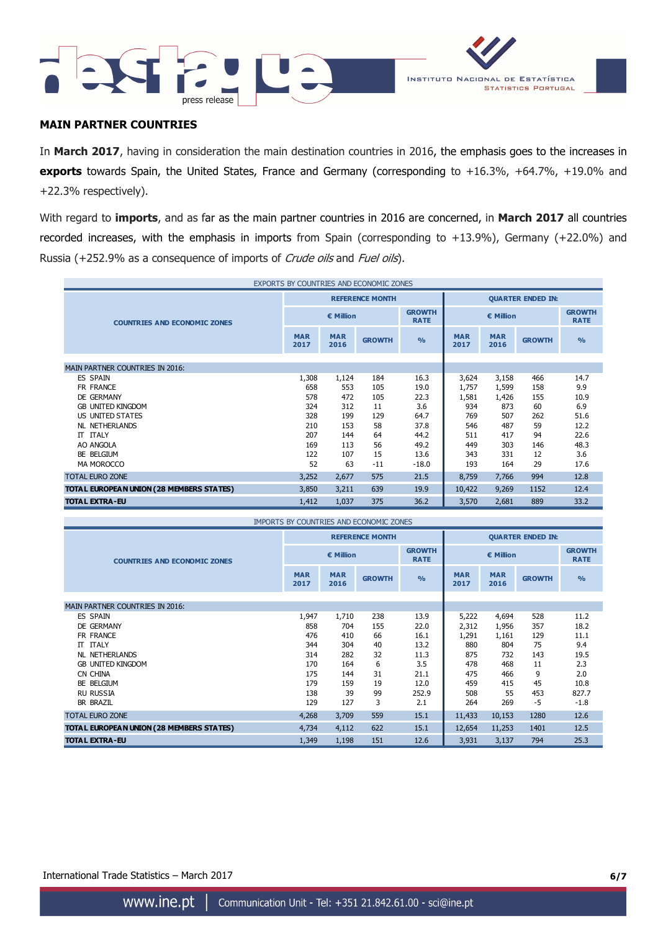



### **MAIN PARTNER COUNTRIES**

In **March 2017**, having in consideration the main destination countries in 2016, the emphasis goes to the increases in **exports** towards Spain, the United States, France and Germany (corresponding to +16.3%, +64.7%, +19.0% and +22.3% respectively).

With regard to **imports**, and as far as the main partner countries in 2016 are concerned, in **March 2017** all countries recorded increases, with the emphasis in imports from Spain (corresponding to +13.9%), Germany (+22.0%) and Russia (+252.9% as a consequence of imports of Crude oils and Fuel oils).

| EXPORTS BY COUNTRIES AND ECONOMIC ZONES  |                    |                    |                                                  |               |                            |                    |               |                              |
|------------------------------------------|--------------------|--------------------|--------------------------------------------------|---------------|----------------------------|--------------------|---------------|------------------------------|
|                                          |                    |                    | <b>REFERENCE MONTH</b>                           |               | <b>QUARTER ENDED IN:</b>   |                    |               |                              |
| <b>COUNTRIES AND ECONOMIC ZONES</b>      |                    | € Million          |                                                  |               | <b>GROWTH</b><br>€ Million |                    |               | <b>GROWTH</b><br><b>RATE</b> |
|                                          | <b>MAR</b><br>2017 | <b>MAR</b><br>2016 | <b>GROWTH</b>                                    | $\frac{0}{0}$ | <b>MAR</b><br>2017         | <b>MAR</b><br>2016 | <b>GROWTH</b> | $\frac{9}{6}$                |
| MAIN PARTNER COUNTRIES IN 2016:          |                    |                    |                                                  |               |                            |                    |               |                              |
| <b>ES SPAIN</b>                          | 1,308              | 1,124              | 184                                              | 16.3          | 3,624                      | 3,158              | 466           | 14.7                         |
| FR FRANCE                                | 658                | 553                | 105                                              | 19.0          | 1,757                      | 1,599              | 158           | 9.9                          |
| DE GERMANY                               | 578                | 472                | 105                                              | 22.3          | 1,581                      | 1,426              | 155           | 10.9                         |
| <b>GB UNITED KINGDOM</b>                 | 324                | 312                | 11                                               | 3.6           | 934                        | 873                | 60            | 6.9                          |
| US UNITED STATES                         | 328                | 199                | 129                                              | 64.7          | 769                        | 507                | 262           | 51.6                         |
| <b>NL NETHERLANDS</b>                    | 210                | 153                | 58                                               | 37.8          | 546                        | 487                | 59            | 12.2                         |
| IT ITALY                                 | 207                | 144                | 64                                               | 44.2          | 511                        | 417                | 94            | 22.6                         |
| AO ANGOLA                                | 169                | 113                | 56                                               | 49.2          | 449                        | 303                | 146           | 48.3                         |
| BE BELGIUM                               | 122                | 107                | 15                                               | 13.6          | 343                        | 331                | 12            | 3.6                          |
| MA MOROCCO                               | 52                 | 63                 | $-11$                                            | $-18.0$       | 193                        | 164                | 29            | 17.6                         |
| <b>TOTAL EURO ZONE</b>                   | 3,252              | 2,677              | 575                                              | 21.5          | 8,759                      | 7,766              | 994           | 12.8                         |
| TOTAL EUROPEAN UNION (28 MEMBERS STATES) | 3,850              | 3,211              | 639                                              | 19.9          | 10,422                     | 9,269              | 1152          | 12.4                         |
| <b>TOTAL EXTRA-EU</b>                    | 1,412              | 1,037              | 375                                              | 36.2          | 3,570                      | 2,681              | 889           | 33.2                         |
|                                          |                    |                    | TRADODITO DV COLINITOTEC, ANID FOONIOMITO ZONIEC |               |                            |                    |               |                              |

| THEORTS BE COUNTRIES AND ECONOMIC ZONES  |                    |                    |                        |                              |                          |                    |               |                              |
|------------------------------------------|--------------------|--------------------|------------------------|------------------------------|--------------------------|--------------------|---------------|------------------------------|
|                                          |                    |                    | <b>REFERENCE MONTH</b> |                              | <b>QUARTER ENDED IN:</b> |                    |               |                              |
| <b>COUNTRIES AND ECONOMIC ZONES</b>      |                    | € Million          |                        | <b>GROWTH</b><br><b>RATE</b> | € Million                |                    |               | <b>GROWTH</b><br><b>RATE</b> |
|                                          | <b>MAR</b><br>2017 | <b>MAR</b><br>2016 | <b>GROWTH</b>          | O <sub>0</sub>               | <b>MAR</b><br>2017       | <b>MAR</b><br>2016 | <b>GROWTH</b> | $\frac{9}{6}$                |
|                                          |                    |                    |                        |                              |                          |                    |               |                              |
| <b>MAIN PARTNER COUNTRIES IN 2016:</b>   |                    |                    |                        |                              |                          |                    |               |                              |
| ES SPAIN                                 | 1,947              | 1,710              | 238                    | 13.9                         | 5,222                    | 4,694              | 528           | 11.2                         |
| DE GERMANY                               | 858                | 704                | 155                    | 22.0                         | 2,312                    | 1,956              | 357           | 18.2                         |
| FR FRANCE                                | 476                | 410                | 66                     | 16.1                         | 1,291                    | 1,161              | 129           | 11.1                         |
| <b>ITALY</b><br>π                        | 344                | 304                | 40                     | 13.2                         | 880                      | 804                | 75            | 9.4                          |
| <b>NL NETHERLANDS</b>                    | 314                | 282                | 32                     | 11.3                         | 875                      | 732                | 143           | 19.5                         |
| <b>GB UNITED KINGDOM</b>                 | 170                | 164                | 6                      | 3.5                          | 478                      | 468                | 11            | 2.3                          |
| CN CHINA                                 | 175                | 144                | 31                     | 21.1                         | 475                      | 466                | 9             | 2.0                          |
| BE BELGIUM                               | 179                | 159                | 19                     | 12.0                         | 459                      | 415                | 45            | 10.8                         |
| <b>RU RUSSIA</b>                         | 138                | 39                 | 99                     | 252.9                        | 508                      | 55                 | 453           | 827.7                        |
| <b>BR BRAZIL</b>                         | 129                | 127                | 3                      | 2.1                          | 264                      | 269                | $-5$          | $-1.8$                       |
| <b>TOTAL EURO ZONE</b>                   | 4,268              | 3,709              | 559                    | 15.1                         | 11,433                   | 10,153             | 1280          | 12.6                         |
| TOTAL EUROPEAN UNION (28 MEMBERS STATES) | 4,734              | 4,112              | 622                    | 15.1                         | 12,654                   | 11,253             | 1401          | 12.5                         |
| <b>TOTAL EXTRA-EU</b>                    | 1,349              | 1,198              | 151                    | 12.6                         | 3,931                    | 3,137              | 794           | 25.3                         |